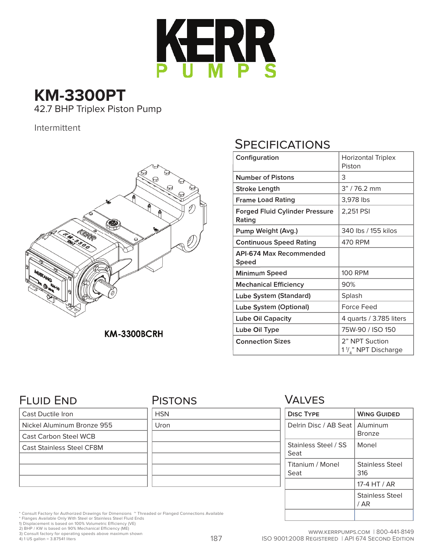

# **KM-3300PT** 42.7 BHP Triplex Piston Pump

Intermittent



**KM-3300BCRH** 

# **SPECIFICATIONS**

| Configuration                                   | <b>Horizontal Triplex</b><br>Piston              |
|-------------------------------------------------|--------------------------------------------------|
| <b>Number of Pistons</b>                        | 3                                                |
| Stroke Length                                   | $3" / 76.2$ mm                                   |
| <b>Frame Load Rating</b>                        | 3,978 lbs                                        |
| <b>Forged Fluid Cylinder Pressure</b><br>Rating | 2,251 PSI                                        |
| Pump Weight (Avg.)                              | 340 lbs / 155 kilos                              |
| <b>Continuous Speed Rating</b>                  | 470 RPM                                          |
| API-674 Max Recommended<br>Speed                |                                                  |
| <b>Minimum Speed</b>                            | <b>100 RPM</b>                                   |
| <b>Mechanical Efficiency</b>                    | 90%                                              |
| Lube System (Standard)                          | Splash                                           |
| Lube System (Optional)                          | Force Feed                                       |
| <b>Lube Oil Capacity</b>                        | 4 quarts / 3.785 liters                          |
| Lube Oil Type                                   | 75W-90 / ISO 150                                 |
| <b>Connection Sizes</b>                         | 2" NPT Suction<br>$1\frac{1}{4}$ " NPT Discharge |

### FLUID END

Cast Ductile Iron

Nickel Aluminum Bronze 955

Cast Carbon Steel WCB

Cast Stainless Steel CF8M

#### **PISTONS**

| <b>HSN</b> |  |  |
|------------|--|--|
| Uron       |  |  |
|            |  |  |
|            |  |  |
|            |  |  |
|            |  |  |
|            |  |  |

#### VALVES

| <b>DISC TYPE</b>             | <b>WING GUIDED</b>            |
|------------------------------|-------------------------------|
| Delrin Disc / AB Seat        | Aluminum<br><b>Bronze</b>     |
| Stainless Steel / SS<br>Seat | Monel                         |
| Titanium / Monel<br>Seat     | <b>Stainless Steel</b><br>316 |
|                              | 17-4 HT / AR                  |
|                              | Stainless Steel<br>/ AR       |
|                              |                               |

\* Consult Factory for Authorized Drawings for Dimensions ~ Threaded or Flanged Connections Available

\* Flanges Available Only With Steel or Stainless Steel Fluid Ends 1) Displacement is based on 100% Volumetric Efficiency (VE) 2) BHP / KW is based on 90% Mechanical Efficiency (ME)

3) Consult factory for operating speeds above maximum shown 4) 1 US gallon = 3.87541 liters